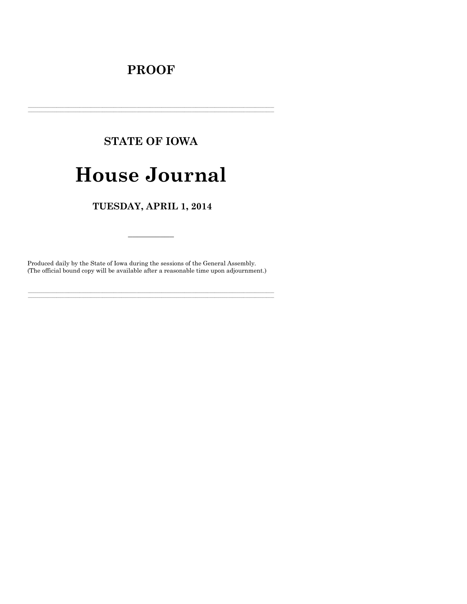# **PROOF**

# **STATE OF IOWA**

# **House Journal**

### TUESDAY, APRIL 1, 2014

Produced daily by the State of Iowa during the sessions of the General Assembly. (The official bound copy will be available after a reasonable time upon adjournment.)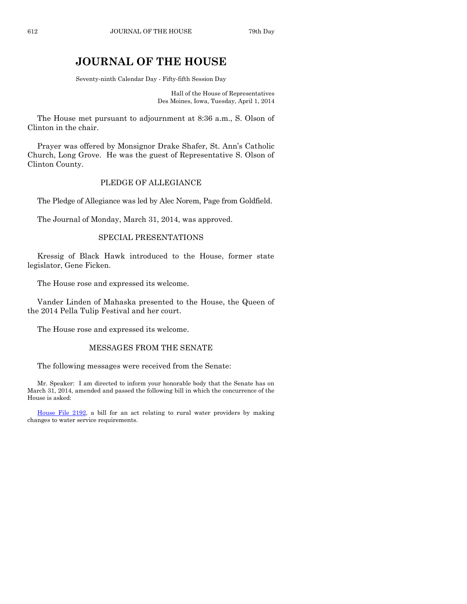## **JOURNAL OF THE HOUSE**

Seventy-ninth Calendar Day - Fifty-fifth Session Day

Hall of the House of Representatives Des Moines, Iowa, Tuesday, April 1, 2014

The House met pursuant to adjournment at 8:36 a.m., S. Olson of Clinton in the chair.

Prayer was offered by Monsignor Drake Shafer, St. Ann's Catholic Church, Long Grove. He was the guest of Representative S. Olson of Clinton County.

#### PLEDGE OF ALLEGIANCE

The Pledge of Allegiance was led by Alec Norem, Page from Goldfield.

The Journal of Monday, March 31, 2014, was approved.

#### SPECIAL PRESENTATIONS

Kressig of Black Hawk introduced to the House, former state legislator, Gene Ficken.

The House rose and expressed its welcome.

Vander Linden of Mahaska presented to the House, the Queen of the 2014 Pella Tulip Festival and her court.

The House rose and expressed its welcome.

#### MESSAGES FROM THE SENATE

The following messages were received from the Senate:

Mr. Speaker: I am directed to inform your honorable body that the Senate has on March 31, 2014, amended and passed the following bill in which the concurrence of the House is asked:

[House File 2192,](http://coolice.legis.iowa.gov/Cool-ICE/default.asp?Category=billinfo&Service=Billbook&frame=1&GA=85&hbill=HF2192) a bill for an act relating to rural water providers by making changes to water service requirements.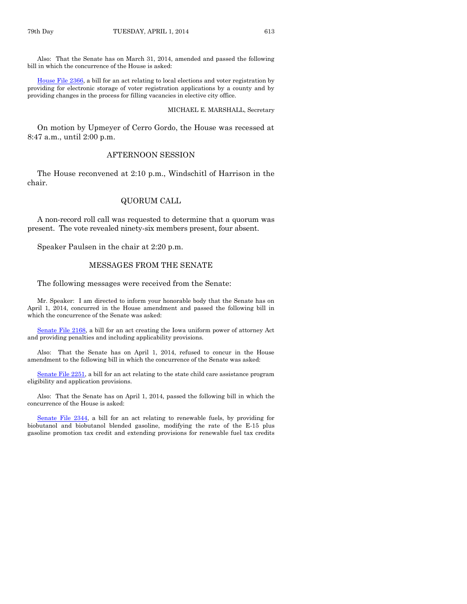Also: That the Senate has on March 31, 2014, amended and passed the following bill in which the concurrence of the House is asked:

[House File 2366,](http://coolice.legis.iowa.gov/Cool-ICE/default.asp?Category=billinfo&Service=Billbook&frame=1&GA=85&hbill=HF2366) a bill for an act relating to local elections and voter registration by providing for electronic storage of voter registration applications by a county and by providing changes in the process for filling vacancies in elective city office.

#### MICHAEL E. MARSHALL, Secretary

On motion by Upmeyer of Cerro Gordo, the House was recessed at 8:47 a.m., until 2:00 p.m.

#### AFTERNOON SESSION

The House reconvened at 2:10 p.m., Windschitl of Harrison in the chair.

#### QUORUM CALL

A non-record roll call was requested to determine that a quorum was present. The vote revealed ninety-six members present, four absent.

Speaker Paulsen in the chair at 2:20 p.m.

#### MESSAGES FROM THE SENATE

The following messages were received from the Senate:

Mr. Speaker: I am directed to inform your honorable body that the Senate has on April 1, 2014, concurred in the House amendment and passed the following bill in which the concurrence of the Senate was asked:

[Senate File 2168,](http://coolice.legis.iowa.gov/Cool-ICE/default.asp?Category=billinfo&Service=Billbook&frame=1&GA=85&hbill=SF2168) a bill for an act creating the Iowa uniform power of attorney Act and providing penalties and including applicability provisions.

Also: That the Senate has on April 1, 2014, refused to concur in the House amendment to the following bill in which the concurrence of the Senate was asked:

[Senate File 2251,](http://coolice.legis.iowa.gov/Cool-ICE/default.asp?Category=billinfo&Service=Billbook&frame=1&GA=85&hbill=SF2251) a bill for an act relating to the state child care assistance program eligibility and application provisions.

Also: That the Senate has on April 1, 2014, passed the following bill in which the concurrence of the House is asked:

[Senate File 2344,](http://coolice.legis.iowa.gov/Cool-ICE/default.asp?Category=billinfo&Service=Billbook&frame=1&GA=85&hbill=SF2344) a bill for an act relating to renewable fuels, by providing for biobutanol and biobutanol blended gasoline, modifying the rate of the E-15 plus gasoline promotion tax credit and extending provisions for renewable fuel tax credits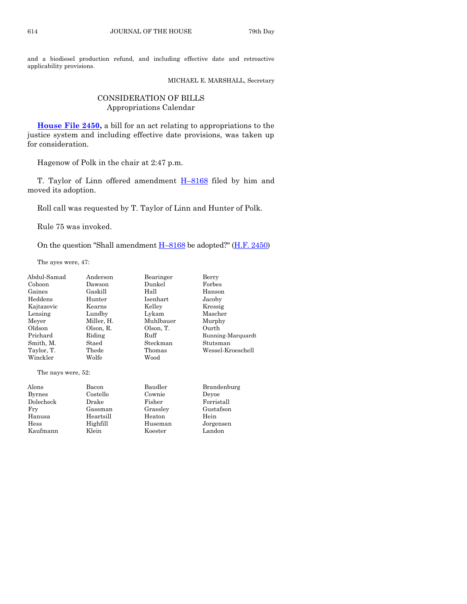and a biodiesel production refund, and including effective date and retroactive applicability provisions.

MICHAEL E. MARSHALL, Secretary

#### CONSIDERATION OF BILLS Appropriations Calendar

**[House File 2450,](http://coolice.legis.iowa.gov/Cool-ICE/default.asp?Category=billinfo&Service=Billbook&frame=1&GA=85&hbill=HF2450)** a bill for an act relating to appropriations to the justice system and including effective date provisions, was taken up for consideration.

Hagenow of Polk in the chair at 2:47 p.m.

T. Taylor of Linn offered amendment H-[8168](http://coolice.legis.iowa.gov/Cool-ICE/default.asp?Category=billinfo&Service=Billbook&frame=1&GA=85&hbill=H8168) filed by him and moved its adoption.

Roll call was requested by T. Taylor of Linn and Hunter of Polk.

Rule 75 was invoked.

On the question "Shall amendment  $H-8168$  $H-8168$  be adopted?" ( $H.F. 2450$ )

The ayes were, 47:

| Abdul-Samad        | Anderson   | Bearinger | Berry             |
|--------------------|------------|-----------|-------------------|
| Cohoon             | Dawson     | Dunkel    | Forbes            |
| Gaines             | Gaskill    | Hall      | Hanson            |
| Heddens            | Hunter     | Isenhart  | Jacoby            |
| Kajtazovic         | Kearns     | Kelley    | Kressig           |
| Lensing            | Lundby     | Lykam     | Mascher           |
| Meyer              | Miller, H. | Muhlbauer | Murphy            |
| Oldson             | Olson, R.  | Olson, T. | Ourth             |
| Prichard           | Riding     | Ruff      | Running-Marquardt |
| Smith, M.          | Staed      | Steckman  | Stutsman          |
| Taylor, T.         | Thede      | Thomas    | Wessel-Kroeschell |
| Winckler           | Wolfe      | Wood      |                   |
| The nays were, 52: |            |           |                   |
| Alons              | Bacon      | Baudler   | Brandenburg       |
| <b>Byrnes</b>      | Costello   | Cownie    | Devoe             |
| Dolecheck          | Drake      | Fisher    | Forristall        |
| Fry                | Gassman    | Grasslev  | Gustafson         |
| Hanusa             | Heartsill  | Heaton    | Hein              |
| Hess               | Highfill   | Huseman   | Jorgensen         |

Kaufmann Klein Koester Landon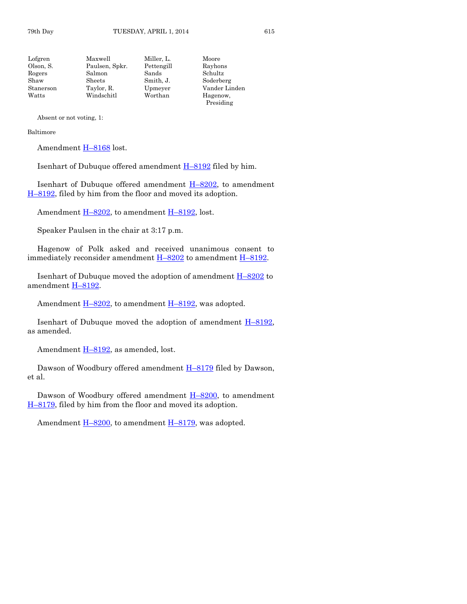Absent or not voting, 1:

#### Baltimore

Amendment H-[8168](http://coolice.legis.iowa.gov/Cool-ICE/default.asp?Category=billinfo&Service=Billbook&frame=1&GA=85&hbill=H8168) lost.

Isenhart of Dubuque offered amendment  $H-8192$  $H-8192$  filed by him.

Isenhart of Dubuque offered amendment  $H-8202$ , to amendment H–[8192,](http://coolice.legis.iowa.gov/Cool-ICE/default.asp?Category=billinfo&Service=Billbook&frame=1&GA=85&hbill=H8192) filed by him from the floor and moved its adoption.

Amendment  $H-8202$ , to amendment  $H-8192$ , lost.

Speaker Paulsen in the chair at 3:17 p.m.

Hagenow of Polk asked and received unanimous consent to immediately reconsider amendment  $H-8202$  $H-8202$  to amendment  $H-8192$ .

Isenhart of Dubuque moved the adoption of amendment H–[8202](http://coolice.legis.iowa.gov/Cool-ICE/default.asp?Category=billinfo&Service=Billbook&frame=1&GA=85&hbill=H8202) to amendment H–[8192.](http://coolice.legis.iowa.gov/Cool-ICE/default.asp?Category=billinfo&Service=Billbook&frame=1&GA=85&hbill=H8192)

Amendment  $H-8202$ , to amendment  $H-8192$ , was adopted.

Isenhart of Dubuque moved the adoption of amendment H–[8192,](http://coolice.legis.iowa.gov/Cool-ICE/default.asp?Category=billinfo&Service=Billbook&frame=1&GA=85&hbill=H8192) as amended.

Amendment H–[8192,](http://coolice.legis.iowa.gov/Cool-ICE/default.asp?Category=billinfo&Service=Billbook&frame=1&GA=85&hbill=H8192) as amended, lost.

Dawson of Woodbury offered amendment  $H-8179$  $H-8179$  filed by Dawson, et al.

Dawson of Woodbury offered amendment H–[8200,](http://coolice.legis.iowa.gov/Cool-ICE/default.asp?Category=billinfo&Service=Billbook&frame=1&GA=85&hbill=H8200) to amendment H–[8179,](http://coolice.legis.iowa.gov/Cool-ICE/default.asp?Category=billinfo&Service=Billbook&frame=1&GA=85&hbill=H8179) filed by him from the floor and moved its adoption.

Amendment  $H-8200$ , to amendment  $H-8179$ , was adopted.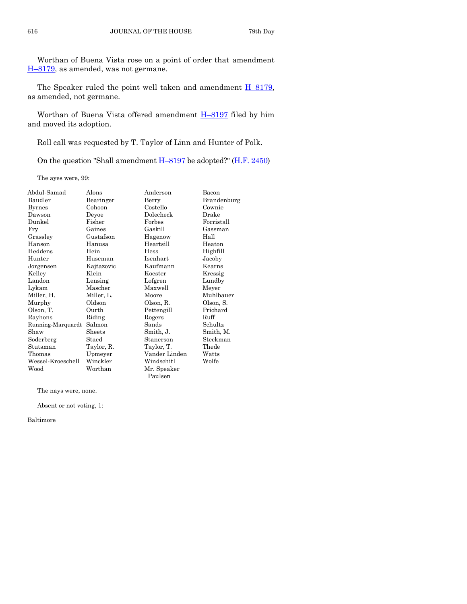Worthan of Buena Vista rose on a point of order that amendment H–[8179,](http://coolice.legis.iowa.gov/Cool-ICE/default.asp?Category=billinfo&Service=Billbook&frame=1&GA=85&hbill=H8179) as amended, was not germane.

The Speaker ruled the point well taken and amendment  $H-8179$ , as amended, not germane.

Worthan of Buena Vista offered amendment H–[8197](http://coolice.legis.iowa.gov/Cool-ICE/default.asp?Category=billinfo&Service=Billbook&frame=1&GA=85&hbill=H8197) filed by him and moved its adoption.

Roll call was requested by T. Taylor of Linn and Hunter of Polk.

On the question "Shall amendment H–[8197](http://coolice.legis.iowa.gov/Cool-ICE/default.asp?Category=billinfo&Service=Billbook&frame=1&GA=85&hbill=H8197) be adopted?" [\(H.F. 2450\)](http://coolice.legis.iowa.gov/Cool-ICE/default.asp?Category=billinfo&Service=Billbook&frame=1&GA=85&hbill=HF2450)

The ayes were, 99:

| Abdul-Samad       | Alons      | Anderson      | Bacon       |
|-------------------|------------|---------------|-------------|
| Baudler           | Bearinger  | Berry         | Brandenburg |
| <b>Byrnes</b>     | Cohoon     | Costello      | Cownie      |
| Dawson            | Deyoe      | Dolecheck     | Drake       |
| Dunkel            | Fisher     | Forbes        | Forristall  |
| Fry               | Gaines     | Gaskill       | Gassman     |
| Grassley          | Gustafson  | Hagenow       | Hall        |
| Hanson            | Hanusa     | Heartsill     | Heaton      |
| Heddens           | Hein       | Hess          | Highfill    |
| Hunter            | Huseman    | Isenhart      | Jacoby      |
| Jorgensen         | Kajtazovic | Kaufmann      | Kearns      |
| Kelley            | Klein      | Koester       | Kressig     |
| Landon            | Lensing    | Lofgren       | Lundby      |
| Lykam             | Mascher    | Maxwell       | Meyer       |
| Miller, H.        | Miller, L. | Moore         | Muhlbauer   |
| Murphy            | Oldson     | Olson, R.     | Olson, S.   |
| Olson, T.         | Ourth      | Pettengill    | Prichard    |
| Rayhons           | Riding     | Rogers        | Ruff        |
| Running-Marquardt | Salmon     | Sands         | Schultz     |
| Shaw              | Sheets     | Smith, J.     | Smith, M.   |
| Soderberg         | Staed      | Stanerson     | Steckman    |
| Stutsman          | Taylor, R. | Taylor, T.    | Thede       |
| Thomas            | Upmeyer    | Vander Linden | Watts       |
| Wessel-Kroeschell | Winckler   | Windschitl    | Wolfe       |
| Wood              | Worthan    | Mr. Speaker   |             |
|                   |            | Paulsen       |             |

The nays were, none.

Absent or not voting, 1:

Baltimore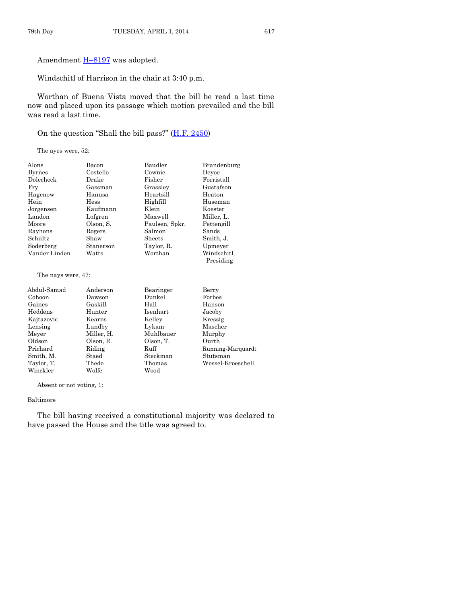Amendment **H-[8197](http://coolice.legis.iowa.gov/Cool-ICE/default.asp?Category=billinfo&Service=Billbook&frame=1&GA=85&hbill=H8197)** was adopted.

Windschitl of Harrison in the chair at 3:40 p.m.

Worthan of Buena Vista moved that the bill be read a last time now and placed upon its passage which motion prevailed and the bill was read a last time.

On the question "Shall the bill pass?"  $(H.F. 2450)$  $(H.F. 2450)$ 

The ayes were, 52:

| Alons              | Bacon       | Baudler        | Brandenburg |
|--------------------|-------------|----------------|-------------|
| <b>Byrnes</b>      | Costello    | Cownie         | Devoe       |
| Dolecheck          | Drake       | Fisher         | Forristall  |
| Fry                | Gassman     | Grassley       | Gustafson   |
| Hagenow            | Hanusa      | Heartsill      | Heaton      |
| Hein               | <b>Hess</b> | Highfill       | Huseman     |
| Jorgensen          | Kaufmann    | Klein          | Koester     |
| Landon             | Lofgren     | Maxwell        | Miller, L.  |
| Moore              | Olson, S.   | Paulsen, Spkr. | Pettengill  |
| Rayhons            | Rogers      | Salmon         | Sands       |
| Schultz            | Shaw        | Sheets         | Smith, J.   |
| Soderberg          | Stanerson   | Taylor, R.     | Upmeyer     |
| Vander Linden      | Watts       | Worthan        | Windschitl. |
|                    |             |                | Presiding   |
| The new were $47.$ |             |                |             |

The nays were, 47:

| Abdul-Samad | Anderson   | Bearinger | Berry             |
|-------------|------------|-----------|-------------------|
| Cohoon      | Dawson     | Dunkel    | Forbes            |
| Gaines      | Gaskill    | Hall      | Hanson            |
| Heddens     | Hunter     | Isenhart  | Jacoby            |
| Kajtazovic  | Kearns     | Kelley    | Kressig           |
| Lensing     | Lundby     | Lykam     | Mascher           |
| Meyer       | Miller, H. | Muhlbauer | Murphy            |
| Oldson      | Olson, R.  | Olson, T. | Ourth             |
| Prichard    | Riding     | Ruff      | Running-Marquardt |
| Smith, M.   | Staed      | Steckman  | Stutsman          |
| Taylor, T.  | Thede      | Thomas    | Wessel-Kroeschell |
| Winckler    | Wolfe      | Wood      |                   |

Absent or not voting, 1:

#### Baltimore

The bill having received a constitutional majority was declared to have passed the House and the title was agreed to.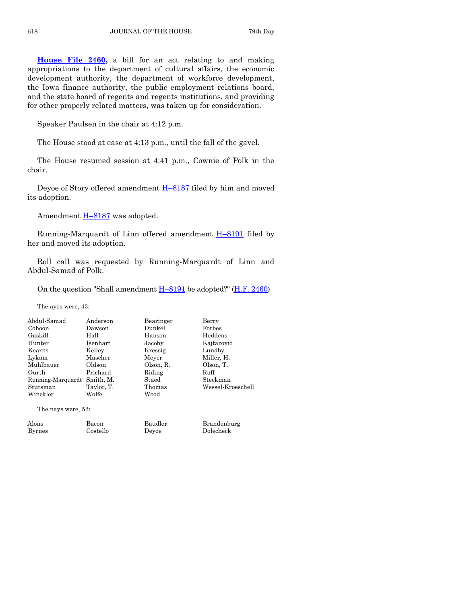**[House File 2460,](http://coolice.legis.iowa.gov/Cool-ICE/default.asp?Category=billinfo&Service=Billbook&frame=1&GA=85&hbill=HF2460)** a bill for an act relating to and making appropriations to the department of cultural affairs, the economic development authority, the department of workforce development, the Iowa finance authority, the public employment relations board, and the state board of regents and regents institutions, and providing for other properly related matters, was taken up for consideration.

Speaker Paulsen in the chair at 4:12 p.m.

The House stood at ease at 4:13 p.m., until the fall of the gavel.

The House resumed session at 4:41 p.m., Cownie of Polk in the chair.

Deyoe of Story offered amendment **H-[8187](http://coolice.legis.iowa.gov/Cool-ICE/default.asp?Category=billinfo&Service=Billbook&frame=1&GA=85&hbill=H8187)** filed by him and moved its adoption.

Amendment H-[8187](http://coolice.legis.iowa.gov/Cool-ICE/default.asp?Category=billinfo&Service=Billbook&frame=1&GA=85&hbill=H8187) was adopted.

Running-Marquardt of Linn offered amendment H-[8191](http://coolice.legis.iowa.gov/Cool-ICE/default.asp?Category=billinfo&Service=Billbook&frame=1&GA=85&hbill=H8191) filed by her and moved its adoption.

Roll call was requested by Running-Marquardt of Linn and Abdul-Samad of Polk.

On the question "Shall amendment  $H-8191$  $H-8191$  be adopted?" ( $H.F. 2460$ )

The ayes were, 43:

| Abdul-Samad       | Anderson   | Bearinger | Berry             |
|-------------------|------------|-----------|-------------------|
| Cohoon            | Dawson     | Dunkel    | Forbes            |
| Gaskill           | Hall       | Hanson    | Heddens           |
| Hunter            | Isenhart   | Jacoby    | Kajtazovic        |
| Kearns            | Kelley     | Kressig   | Lundby            |
| Lykam             | Mascher    | Meyer     | Miller, H.        |
| Muhlbauer         | Oldson     | Olson, R. | Olson, T.         |
| Ourth             | Prichard   | Riding    | Ruff              |
| Running-Marquardt | Smith, M.  | Staed     | Steckman          |
| Stutsman          | Taylor, T. | Thomas    | Wessel-Kroeschell |
| Winckler          | Wolfe      | Wood      |                   |
|                   |            |           |                   |

The nays were, 52:

Alons Bacon Baudler Brandenburg Byrnes Costello Deyoe Dolecheck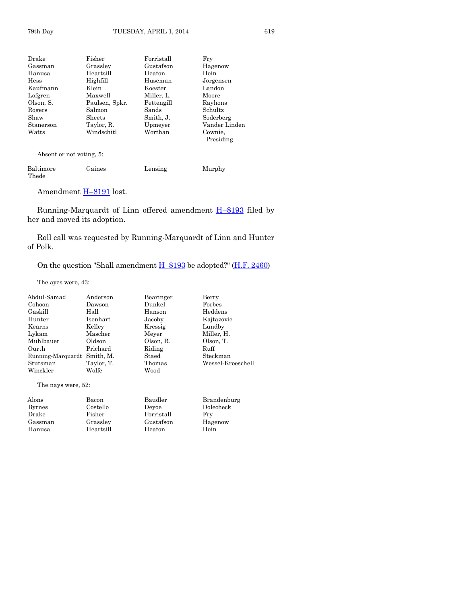| Fisher         | $\rm Forristall$ | Fry           |
|----------------|------------------|---------------|
| Grassley       | Gustafson        | Hagenow       |
| Heartsill      | Heaton           | Hein          |
| Highfill       | Huseman          | Jorgensen     |
| Klein          | Koester          | Landon        |
| Maxwell        |                  | Moore         |
| Paulsen, Spkr. | Pettengill       | Rayhons       |
| Salmon         | Sands            | Schultz       |
| Sheets         | Smith, J.        | Soderberg     |
| Taylor, R.     | Upmeyer          | Vander Linden |
| Windschitl     | Worthan          | Cownie,       |
|                |                  | Presiding     |
|                |                  | Miller, L.    |

Absent or not voting, 5:

| Baltimore | Gaines | Lensing | Murphy |
|-----------|--------|---------|--------|
| Thede     |        |         |        |

Amendment H-[8191](http://coolice.legis.iowa.gov/Cool-ICE/default.asp?Category=billinfo&Service=Billbook&frame=1&GA=85&hbill=H8191) lost.

Running-Marquardt of Linn offered amendment H–[8193](http://coolice.legis.iowa.gov/Cool-ICE/default.asp?Category=billinfo&Service=Billbook&frame=1&GA=85&hbill=H8193) filed by her and moved its adoption.

Roll call was requested by Running-Marquardt of Linn and Hunter of Polk.

On the question "Shall amendment H–[8193](http://coolice.legis.iowa.gov/Cool-ICE/default.asp?Category=billinfo&Service=Billbook&frame=1&GA=85&hbill=H8193) be adopted?" [\(H.F. 2460\)](http://coolice.legis.iowa.gov/Cool-ICE/default.asp?Category=billinfo&Service=Billbook&frame=1&GA=85&hbill=HF2460)

The ayes were, 43:

| Abdul-Samad        | Anderson   | Bearinger | Berry             |
|--------------------|------------|-----------|-------------------|
| Cohoon             | Dawson     | Dunkel    | Forbes            |
| Gaskill            | Hall       | Hanson    | Heddens           |
| Hunter             | Isenhart   | Jacoby    | Kajtazovic        |
| Kearns             | Kelley     | Kressig   | Lundby            |
| Lykam              | Mascher    | Meyer     | Miller, H.        |
| Muhlbauer          | Oldson     | Olson, R. | Olson, T.         |
| Ourth              | Prichard   | Riding    | Ruff              |
| Running-Marquardt  | Smith, M.  | Staed     | Steckman          |
| Stutsman           | Taylor, T. | Thomas    | Wessel-Kroeschell |
| Winckler           | Wolfe      | Wood      |                   |
| The nays were, 52: |            |           |                   |
| Alons              | Bacon      | Baudler   | Brandenburg       |
| <b>Byrnes</b>      | Costello   | Devoe     | Dolecheck         |

Drake Fisher Forristall Fry Gassman Grassley Gustafson Hage<br>Hanusa Heartsill Heaton Hein

Heartsill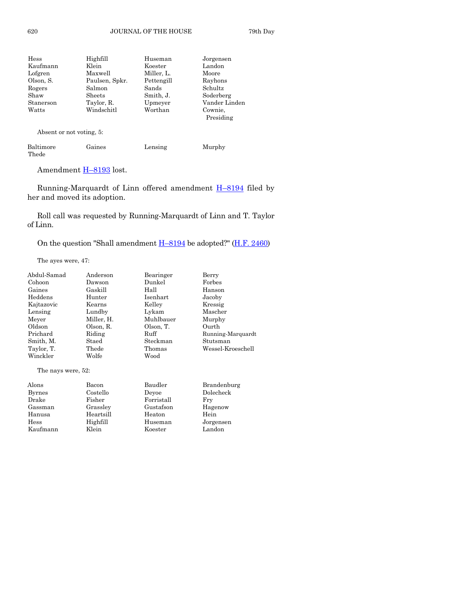| Hess      | Highfill       | Huseman    | Jorgensen            |
|-----------|----------------|------------|----------------------|
| Kaufmann  | Klein          | Koester    | Landon               |
| Lofgren   | Maxwell        | Miller, L. | Moore                |
| Olson, S. | Paulsen, Spkr. | Pettengill | Rayhons              |
| Rogers    | Salmon         | Sands      | Schultz              |
| Shaw      | Sheets         | Smith, J.  | Soderberg            |
| Stanerson | Taylor, R.     | Upmeyer    | Vander Linden        |
| Watts     | Windschitl     | Worthan    | Cownie,<br>Presiding |

Absent or not voting, 5:

| Baltimore | Gaines | Lensing | Murphy |
|-----------|--------|---------|--------|
| Thede     |        |         |        |

Amendment **H-[8193](http://coolice.legis.iowa.gov/Cool-ICE/default.asp?Category=billinfo&Service=Billbook&frame=1&GA=85&hbill=H8193)** lost.

Running-Marquardt of Linn offered amendment H–[8194](http://coolice.legis.iowa.gov/Cool-ICE/default.asp?Category=billinfo&Service=Billbook&frame=1&GA=85&hbill=H8194) filed by her and moved its adoption.

Roll call was requested by Running-Marquardt of Linn and T. Taylor of Linn.

On the question "Shall amendment  $H-8194$  $H-8194$  be adopted?" ( $H.F. 2460$ )

The ayes were, 47:

| Abdul-Samad        | Anderson   | Bearinger  | Berry             |
|--------------------|------------|------------|-------------------|
| Cohoon             | Dawson     | Dunkel     | Forbes            |
| Gaines             | Gaskill    | Hall       | Hanson            |
| Heddens            | Hunter     | Isenhart   | Jacoby            |
| Kajtazovic         | Kearns     | Kelley     | Kressig           |
| Lensing            | Lundby     | Lykam      | Mascher           |
| Meyer              | Miller, H. | Muhlbauer  | Murphy            |
| Oldson             | Olson, R.  | Olson, T.  | Ourth             |
| Prichard           | Riding     | Ruff       | Running-Marquardt |
| Smith, M.          | Staed      | Steckman   | Stutsman          |
| Taylor, T.         | Thede      | Thomas     | Wessel-Kroeschell |
| Winckler           | Wolfe      | Wood       |                   |
| The nays were, 52: |            |            |                   |
| Alons              | Bacon      | Baudler    | Brandenburg       |
| <b>Byrnes</b>      | Costello   | Devoe      | Dolecheck         |
| Drake              | Fisher     | Forristall | Fry               |
| Gassman            | Grassley   | Gustafson  | Hagenow           |
| Hanusa             | Heartsill  | Heaton     | Hein              |
| Hess               | Highfill   | Huseman    | Jorgensen         |
| Kaufmann           | Klein      | Koester    | Landon            |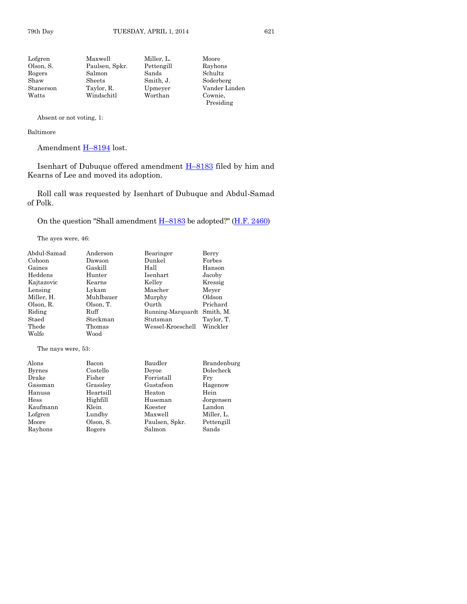Absent or not voting, 1:

#### Baltimore

Rayhons

Amendment H–[8194](http://coolice.legis.iowa.gov/Cool-ICE/default.asp?Category=billinfo&Service=Billbook&frame=1&GA=85&hbill=H8194) lost.

Isenhart of Dubuque offered amendment H–[8183](http://coolice.legis.iowa.gov/Cool-ICE/default.asp?Category=billinfo&Service=Billbook&frame=1&GA=85&hbill=H8183) filed by him and Kearns of Lee and moved its adoption.

Roll call was requested by Isenhart of Dubuque and Abdul-Samad of Polk.

On the question "Shall amendment H–[8183](http://coolice.legis.iowa.gov/Cool-ICE/default.asp?Category=billinfo&Service=Billbook&frame=1&GA=85&hbill=H8183) be adopted?" [\(H.F. 2460\)](http://coolice.legis.iowa.gov/Cool-ICE/default.asp?Category=billinfo&Service=Billbook&frame=1&GA=85&hbill=HF2460)

The ayes were, 46:

| Abdul-Samad        | Anderson  | Bearinger         | Berry       |
|--------------------|-----------|-------------------|-------------|
| Cohoon             | Dawson    | Dunkel            | Forbes      |
| Gaines             | Gaskill   | Hall              | Hanson      |
| Heddens            | Hunter    | Isenhart          | Jacoby      |
| Kajtazovic         | Kearns    | Kelley            | Kressig     |
| Lensing            | Lykam     | Mascher           | Meyer       |
| Miller, H.         | Muhlbauer | Murphy            | Oldson      |
| Olson, R.          | Olson, T. | Ourth             | Prichard    |
| Riding             | Ruff      | Running-Marquardt | Smith, M.   |
| Staed              | Steckman  | Stutsman          | Taylor, T.  |
| Thede              | Thomas    | Wessel-Kroeschell | Winckler    |
| Wolfe              | Wood      |                   |             |
| The nays were, 53: |           |                   |             |
| Alons              | Bacon     | Baudler           | Brandenburg |
| <b>Byrnes</b>      | Costello  | Devoe             | Dolecheck   |
| Drake              | Fisher    | Forristall        | Fry         |
| Gassman            | Grassley  | Gustafson         | Hagenow     |
| Hanusa             | Heartsill | Heaton            | Hein        |
| Hess               | Highfill  | Huseman           | Jorgensen   |
| Kaufmann           | Klein     | Koester           | Landon      |
| Lofgren            | Lundby    | Maxwell           | Miller, L.  |
| Moore              | Olson, S. | Paulsen, Spkr.    | Pettengill  |
| Rayhons            | Rogers    | Salmon            | Sands       |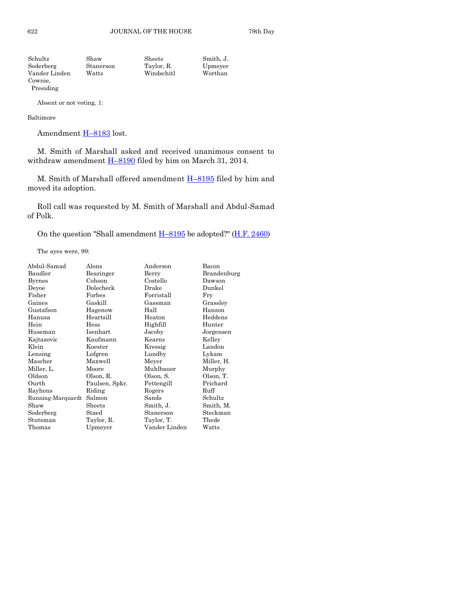| Schultz       | Shaw      | Sheets     | Smith. J. |
|---------------|-----------|------------|-----------|
| Soderberg     | Stanerson | Taylor, R. | Upmeyer   |
| Vander Linden | Watts     | Windschitl | Worthan   |
| Cownie,       |           |            |           |

Absent or not voting, 1:

#### Baltimore

Presiding

Amendment H-[8183](http://coolice.legis.iowa.gov/Cool-ICE/default.asp?Category=billinfo&Service=Billbook&frame=1&GA=85&hbill=H8183) lost.

M. Smith of Marshall asked and received unanimous consent to withdraw amendment  $H-8190$  $H-8190$  filed by him on March 31, 2014.

M. Smith of Marshall offered amendment H–[8195](http://coolice.legis.iowa.gov/Cool-ICE/default.asp?Category=billinfo&Service=Billbook&frame=1&GA=85&hbill=H8195) filed by him and moved its adoption.

Roll call was requested by M. Smith of Marshall and Abdul-Samad of Polk.

On the question "Shall amendment  $H-8195$  $H-8195$  be adopted?" ( $H.F. 2460$ )

The ayes were, 99:

| Abdul-Samad       | Alons          | Anderson      | Bacon       |
|-------------------|----------------|---------------|-------------|
| Baudler           | Bearinger      | Berry         | Brandenburg |
| <b>Byrnes</b>     | Cohoon         | Costello      | Dawson      |
| Deyoe             | Dolecheck      | Drake         | Dunkel      |
| Fisher            | Forbes         | Forristall    | Fry         |
| Gaines            | Gaskill        | Gassman       | Grassley    |
| Gustafson         | Hagenow        | Hall          | Hanson      |
| Hanusa            | Heartsill      | Heaton        | Heddens     |
| Hein              | Hess           | Highfill      | Hunter      |
| Huseman           | Isenhart       | Jacoby        | Jorgensen   |
| Kajtazovic        | Kaufmann       | Kearns        | Kelley      |
| Klein             | Koester        | Kressig       | Landon      |
| Lensing           | Lofgren        | Lundby        | Lykam       |
| Mascher           | Maxwell        | Meyer         | Miller, H.  |
| Miller, L.        | Moore          | Muhlbauer     | Murphy      |
| Oldson            | Olson, R.      | Olson, S.     | Olson, T.   |
| Ourth             | Paulsen, Spkr. | Pettengill    | Prichard    |
| Rayhons           | Riding         | Rogers        | Ruff        |
| Running-Marquardt | Salmon         | Sands         | Schultz     |
| Shaw              | Sheets         | Smith, J.     | Smith, M.   |
| Soderberg         | Staed          | Stanerson     | Steckman    |
| Stutsman          | Taylor, R.     | Taylor, T.    | Thede       |
| Thomas            | Upmeyer        | Vander Linden | Watts       |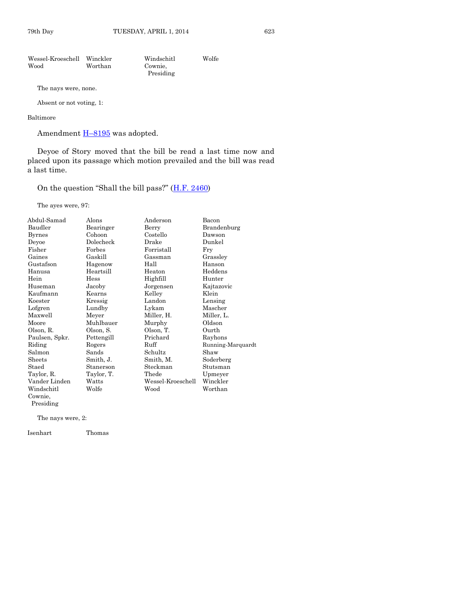| Wessel-Kroeschell Winckler |         | Windschitl | Wolfe |
|----------------------------|---------|------------|-------|
| Wood                       | Worthan | Cownie.    |       |
|                            |         | Presiding  |       |

The nays were, none.

Absent or not voting, 1:

#### Baltimore

Amendment  $H-8195$  $H-8195$  was adopted.

Deyoe of Story moved that the bill be read a last time now and placed upon its passage which motion prevailed and the bill was read a last time.

On the question "Shall the bill pass?" ([H.F. 2460\)](http://coolice.legis.iowa.gov/Cool-ICE/default.asp?Category=billinfo&Service=Billbook&frame=1&GA=85&hbill=HF2460)

The ayes were, 97:

| Abdul-Samad    | Alons      | Anderson          | Bacon             |
|----------------|------------|-------------------|-------------------|
| Baudler        | Bearinger  | Berry             | Brandenburg       |
| <b>Byrnes</b>  | Cohoon     | Costello          | Dawson            |
| Deyoe          | Dolecheck  | Drake             | Dunkel            |
| Fisher         | Forbes     | Forristall        | Fry               |
| Gaines         | Gaskill    | Gassman           | Grassley          |
| Gustafson      | Hagenow    | Hall              | Hanson            |
| Hanusa         | Heartsill  | Heaton            | Heddens           |
| Hein           | Hess       | Highfill          | Hunter            |
| Huseman        | Jacoby     | Jorgensen         | Kajtazovic        |
| Kaufmann       | Kearns     | Kelley            | Klein             |
| Koester        | Kressig    | Landon            | Lensing           |
| Lofgren        | Lundby     | Lykam             | Mascher           |
| Maxwell        | Meyer      | Miller, H.        | Miller, L.        |
| Moore          | Muhlbauer  | Murphy            | Oldson            |
| Olson, R.      | Olson, S.  | Olson, T.         | Ourth             |
| Paulsen, Spkr. | Pettengill | Prichard          | Rayhons           |
| Riding         | Rogers     | Ruff              | Running-Marquardt |
| Salmon         | Sands      | Schultz           | Shaw              |
| Sheets         | Smith, J.  | Smith, M.         | Soderberg         |
| Staed          | Stanerson  | Steckman          | Stutsman          |
| Taylor, R.     | Taylor, T. | Thede             | Upmeyer           |
| Vander Linden  | Watts      | Wessel-Kroeschell | Winckler          |
| Windschitl     | Wolfe      | Wood              | Worthan           |
| Cownie,        |            |                   |                   |
| Presiding      |            |                   |                   |

The nays were, 2:

Isenhart Thomas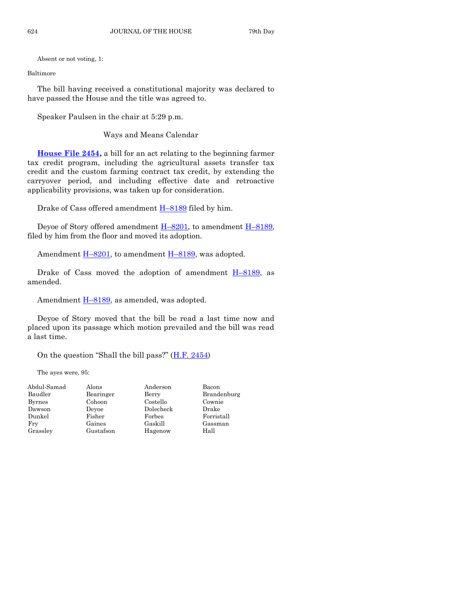Absent or not voting, 1:

Baltimore

The bill having received a constitutional majority was declared to have passed the House and the title was agreed to.

Speaker Paulsen in the chair at 5:29 p.m.

Ways and Means Calendar

**[House File 2454,](http://coolice.legis.iowa.gov/Cool-ICE/default.asp?Category=billinfo&Service=Billbook&frame=1&GA=85&hbill=HF2454)** a bill for an act relating to the beginning farmer tax credit program, including the agricultural assets transfer tax credit and the custom farming contract tax credit, by extending the carryover period, and including effective date and retroactive applicability provisions, was taken up for consideration.

Drake of Cass offered amendment  $H-8189$  $H-8189$  filed by him.

Deyoe of Story offered amendment  $H-8201$ , to amendment  $H-8189$ , filed by him from the floor and moved its adoption.

Amendment  $H-8201$ , to amendment  $H-8189$ , was adopted.

Drake of Cass moved the adoption of amendment  $H-8189$ , as amended.

Amendment  $H-8189$ , as amended, was adopted.

Deyoe of Story moved that the bill be read a last time now and placed upon its passage which motion prevailed and the bill was read a last time.

On the question "Shall the bill pass?"  $(H.F. 2454)$  $(H.F. 2454)$ 

The ayes were, 95:

| Abdul-Samad   | Alons     | Anderson  | Bacon       |
|---------------|-----------|-----------|-------------|
| Baudler       | Bearinger | Berry     | Brandenburg |
| <b>Byrnes</b> | Cohoon    | Costello  | Cownie      |
| Dawson        | Devoe     | Dolecheck | Drake       |
| Dunkel        | Fisher    | Forbes    | Forristall  |
| Fry           | Gaines    | Gaskill   | Gassman     |
| Grassley      | Gustafson | Hagenow   | Hall        |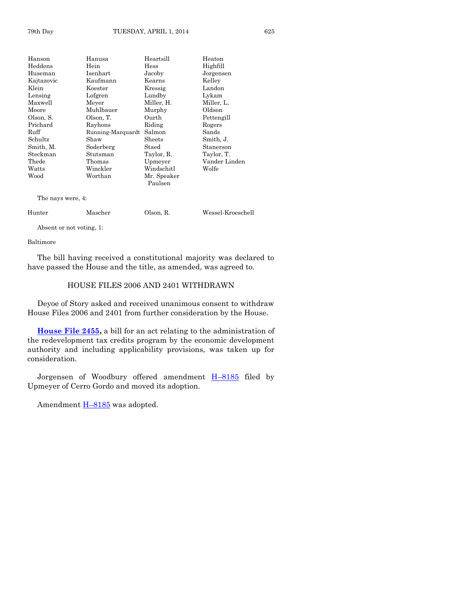| Hanson            | Hanusa            | Heartsill   | Heaton        |
|-------------------|-------------------|-------------|---------------|
| $\rm{Heddens}$    | Hein              | Hess        | Highfill      |
| Huseman           | Isenhart          | Jacoby      | Jorgensen     |
| Kajtazovic        | Kaufmann          | Kearns      | Kelley        |
| Klein             | Koester           | Kressig     | Landon        |
| Lensing           | Lofgren           | Lundby      | Lykam         |
| Maxwell           | Meyer             | Miller, H.  | Miller, L.    |
| Moore             | Muhlbauer         | Murphy      | Oldson        |
| Olson, S.         | Olson, T.         | Ourth       | Pettengill    |
| Prichard          | Rayhons           | Riding      | Rogers        |
| Ruff              | Running-Marquardt | Salmon      | Sands         |
| Schultz           | Shaw              | Sheets      | Smith, J.     |
| Smith, M.         | Soderberg         | Staed       | Stanerson     |
| Steckman          | Stutsman          | Taylor, R.  | Taylor, T.    |
| $\rm{The de}$     | Thomas            | Upmeyer     | Vander Linden |
| Watts             | Winckler          | Windschitl  | Wolfe         |
| Wood              | Worthan           | Mr. Speaker |               |
|                   |                   | Paulsen     |               |
| The nays were, 4: |                   |             |               |

| Hunter | Mascher | Olson, R. | Wessel-Kroeschell |
|--------|---------|-----------|-------------------|
|--------|---------|-----------|-------------------|

Absent or not voting, 1:

#### Baltimore

The bill having received a constitutional majority was declared to have passed the House and the title, as amended, was agreed to.

#### HOUSE FILES 2006 AND 2401 WITHDRAWN

Deyoe of Story asked and received unanimous consent to withdraw House Files 2006 and 2401 from further consideration by the House.

**[House File 2455,](http://coolice.legis.iowa.gov/Cool-ICE/default.asp?Category=billinfo&Service=Billbook&frame=1&GA=85&hbill=HF2455)** a bill for an act relating to the administration of the redevelopment tax credits program by the economic development authority and including applicability provisions, was taken up for consideration.

Jorgensen of Woodbury offered amendment H–[8185](http://coolice.legis.iowa.gov/Cool-ICE/default.asp?Category=billinfo&Service=Billbook&frame=1&GA=85&hbill=H8185) filed by Upmeyer of Cerro Gordo and moved its adoption.

Amendment  $H-8185$  $H-8185$  was adopted.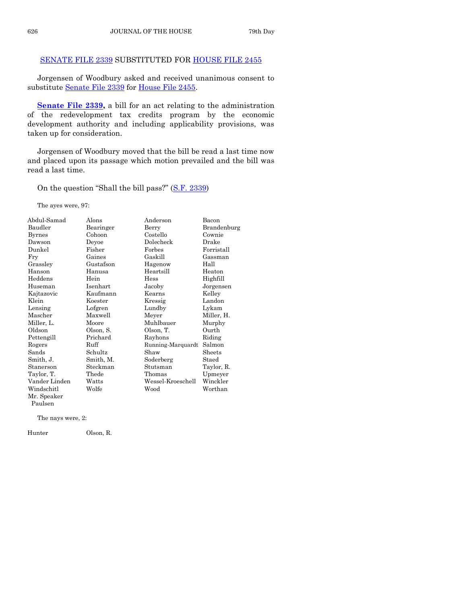#### [SENATE FILE 2339](http://coolice.legis.iowa.gov/Cool-ICE/default.asp?Category=billinfo&Service=Billbook&frame=1&GA=85&hbill=SF2339) SUBSTITUTED FOR [HOUSE FILE 2455](http://coolice.legis.iowa.gov/Cool-ICE/default.asp?Category=billinfo&Service=Billbook&frame=1&GA=85&hbill=HF2455)

Jorgensen of Woodbury asked and received unanimous consent to substitute [Senate File 2339](http://coolice.legis.iowa.gov/Cool-ICE/default.asp?Category=billinfo&Service=Billbook&frame=1&GA=85&hbill=SF2339) for [House File 2455.](http://coolice.legis.iowa.gov/Cool-ICE/default.asp?Category=billinfo&Service=Billbook&frame=1&GA=85&hbill=HF2455)

**[Senate File 2339,](http://coolice.legis.iowa.gov/Cool-ICE/default.asp?Category=billinfo&Service=Billbook&frame=1&GA=85&hbill=SF2339)** a bill for an act relating to the administration of the redevelopment tax credits program by the economic development authority and including applicability provisions, was taken up for consideration.

Jorgensen of Woodbury moved that the bill be read a last time now and placed upon its passage which motion prevailed and the bill was read a last time.

On the question "Shall the bill pass?" ([S.F. 2339\)](http://coolice.legis.iowa.gov/Cool-ICE/default.asp?Category=billinfo&Service=Billbook&frame=1&GA=85&hbill=SF2339)

The ayes were, 97:

| Abdul-Samad   | Alons     | Anderson          | Bacon       |
|---------------|-----------|-------------------|-------------|
| Baudler       | Bearinger | Berry             | Brandenburg |
| <b>Byrnes</b> | Cohoon    | Costello          | Cownie      |
| Dawson        | Devoe     | Dolecheck         | Drake       |
| Dunkel        | Fisher    | Forbes            | Forristall  |
| Fry           | Gaines    | Gaskill           | Gassman     |
| Grassley      | Gustafson | Hagenow           | Hall        |
| Hanson        | Hanusa    | Heartsill         | Heaton      |
| Heddens       | Hein      | <b>Hess</b>       | Highfill    |
| Huseman       | Isenhart  | Jacoby            | Jorgensen   |
| Kajtazovic    | Kaufmann  | Kearns            | Kelley      |
| Klein         | Koester   | Kressig           | Landon      |
| Lensing       | Lofgren   | Lundby            | Lykam       |
| Mascher       | Maxwell   | Meyer             | Miller, H.  |
| Miller, L.    | Moore     | Muhlbauer         | Murphy      |
| Oldson        | Olson, S. | Olson, T.         | Ourth       |
| Pettengill    | Prichard  | Rayhons           | Riding      |
| Rogers        | Ruff      | Running-Marquardt | Salmon      |
| Sands         | Schultz   | Shaw              | Sheets      |
| Smith, J.     | Smith, M. | Soderberg         | Staed       |
| Stanerson     | Steckman  | Stutsman          | Taylor, R.  |
| Taylor, T.    | Thede     | Thomas            | Upmeyer     |
| Vander Linden | Watts     | Wessel-Kroeschell | Winckler    |
| Windschitl    | Wolfe     | Wood              | Worthan     |
| Mr. Speaker   |           |                   |             |
| Paulsen       |           |                   |             |

The nays were, 2:

Hunter Olson, R.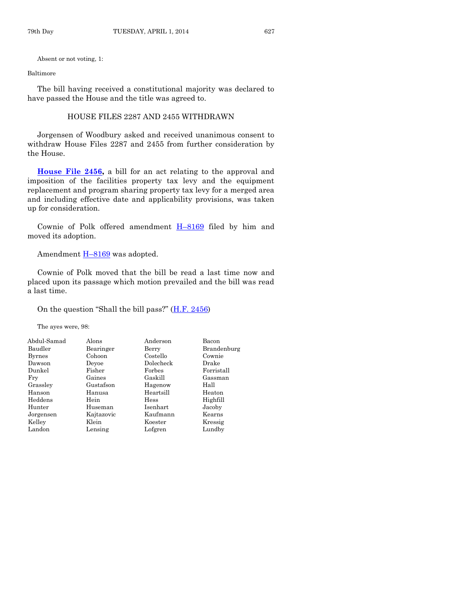Absent or not voting, 1:

#### Baltimore

The bill having received a constitutional majority was declared to have passed the House and the title was agreed to.

#### HOUSE FILES 2287 AND 2455 WITHDRAWN

Jorgensen of Woodbury asked and received unanimous consent to withdraw House Files 2287 and 2455 from further consideration by the House.

**[House File 2456,](http://coolice.legis.iowa.gov/Cool-ICE/default.asp?Category=billinfo&Service=Billbook&frame=1&GA=85&hbill=HF2456)** a bill for an act relating to the approval and imposition of the facilities property tax levy and the equipment replacement and program sharing property tax levy for a merged area and including effective date and applicability provisions, was taken up for consideration.

Cownie of Polk offered amendment H–[8169](http://coolice.legis.iowa.gov/Cool-ICE/default.asp?Category=billinfo&Service=Billbook&frame=1&GA=85&hbill=H8169) filed by him and moved its adoption.

#### Amendment  $H-8169$  $H-8169$  was adopted.

Cownie of Polk moved that the bill be read a last time now and placed upon its passage which motion prevailed and the bill was read a last time.

#### On the question "Shall the bill pass?"  $(H.F. 2456)$  $(H.F. 2456)$

The ayes were, 98:

| Alons      | Anderson    | Bacon       |
|------------|-------------|-------------|
| Bearinger  | Berry       | Brandenburg |
| Cohoon     | Costello    | Cownie      |
| Devoe      | Dolecheck   | Drake       |
| Fisher     | Forbes      | Forristall  |
| Gaines     | Gaskill     | Gassman     |
| Gustafson  | Hagenow     | Hall        |
| Hanusa     | Heartsill   | Heaton      |
| Hein       | <b>Hess</b> | Highfill    |
| Huseman    | Isenhart    | Jacoby      |
| Kajtazovic | Kaufmann    | Kearns      |
| Klein      | Koester     | Kressig     |
| Lensing    | Lofgren     | Lundby      |
|            |             |             |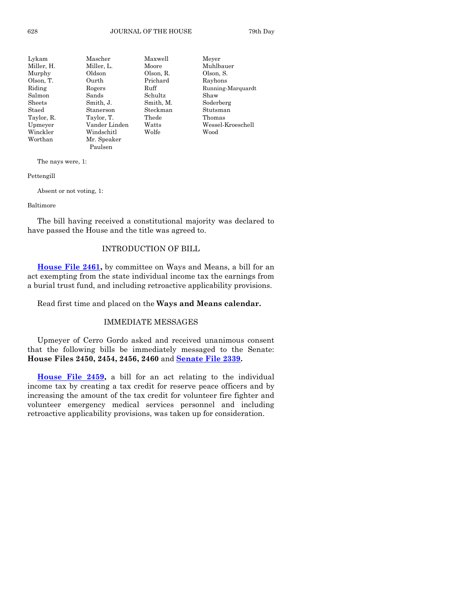| Lykam         | Mascher       | Maxwell   | Meyer             |
|---------------|---------------|-----------|-------------------|
| Miller, H.    | Miller, L.    | Moore     | Muhlbauer         |
| Murphy        | Oldson        | Olson, R. | Olson, S.         |
| Olson, T.     | Ourth         | Prichard  | Rayhons           |
| Riding        | Rogers        | Ruff      | Running-Marquardt |
| Salmon        | Sands         | Schultz   | Shaw              |
| $\rm{Sheets}$ | Smith, J.     | Smith, M. | Soderberg         |
| Staed         | Stanerson     | Steckman  | Stutsman          |
| Taylor, R.    | Taylor, T.    | Thede     | Thomas            |
| Upmeyer       | Vander Linden | Watts     | Wessel-Kroeschell |
| Winckler      | Windschitl    | Wolfe     | Wood              |
| Worthan       | Mr. Speaker   |           |                   |
|               | Paulsen       |           |                   |

The nays were, 1:

Pettengill

Absent or not voting, 1:

#### Baltimore

The bill having received a constitutional majority was declared to have passed the House and the title was agreed to.

#### INTRODUCTION OF BILL

**[House File 2461,](http://coolice.legis.iowa.gov/Cool-ICE/default.asp?Category=billinfo&Service=Billbook&frame=1&GA=85&hbill=HF2461)** by committee on Ways and Means, a bill for an act exempting from the state individual income tax the earnings from a burial trust fund, and including retroactive applicability provisions.

Read first time and placed on the **Ways and Means calendar.**

#### IMMEDIATE MESSAGES

Upmeyer of Cerro Gordo asked and received unanimous consent that the following bills be immediately messaged to the Senate: **House Files 2450, 2454, 2456, 2460** and **[Senate File 2339.](http://coolice.legis.iowa.gov/Cool-ICE/default.asp?Category=billinfo&Service=Billbook&frame=1&GA=85&hbill=SF2339)**

**[House File 2459,](http://coolice.legis.iowa.gov/Cool-ICE/default.asp?Category=billinfo&Service=Billbook&frame=1&GA=85&hbill=HF2459)** a bill for an act relating to the individual income tax by creating a tax credit for reserve peace officers and by increasing the amount of the tax credit for volunteer fire fighter and volunteer emergency medical services personnel and including retroactive applicability provisions, was taken up for consideration.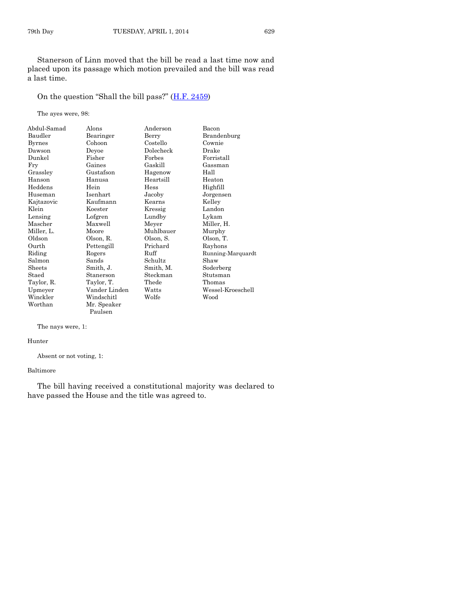Stanerson of Linn moved that the bill be read a last time now and placed upon its passage which motion prevailed and the bill was read a last time.

On the question "Shall the bill pass?" ([H.F. 2459\)](http://coolice.legis.iowa.gov/Cool-ICE/default.asp?Category=billinfo&Service=Billbook&frame=1&GA=85&hbill=HF2459)

The ayes were, 98:

| Abdul-Samad   | Alons         | Anderson  | Bacon             |
|---------------|---------------|-----------|-------------------|
| Baudler       | Bearinger     | Berry     | Brandenburg       |
| <b>Byrnes</b> | Cohoon        | Costello  | Cownie            |
| Dawson        | Deyoe         | Dolecheck | Drake             |
| Dunkel        | Fisher        | Forbes    | Forristall        |
| Fry           | Gaines        | Gaskill   | Gassman           |
| Grasslev      | Gustafson     | Hagenow   | Hall              |
| Hanson        | Hanusa        | Heartsill | Heaton            |
| Heddens       | Hein          | Hess      | Highfill          |
| Huseman       | Isenhart      | Jacoby    | Jorgensen         |
| Kajtazovic    | Kaufmann      | Kearns    | Kelley            |
| Klein         | Koester       | Kressig   | Landon            |
| Lensing       | Lofgren       | Lundby    | Lykam             |
| Mascher       | Maxwell       | Meyer     | Miller, H.        |
| Miller, L.    | Moore         | Muhlbauer | Murphy            |
| Oldson        | Olson, R.     | Olson, S. | Olson, T.         |
| Ourth         | Pettengill    | Prichard  | Rayhons           |
| Riding        | Rogers        | Ruff      | Running-Marquardt |
| Salmon        | Sands         | Schultz   | Shaw              |
| Sheets        | Smith, J.     | Smith, M. | Soderberg         |
| Staed         | Stanerson     | Steckman  | Stutsman          |
| Taylor, R.    | Taylor, T.    | Thede     | Thomas            |
| Upmeyer       | Vander Linden | Watts     | Wessel-Kroeschell |
| Winckler      | Windschitl    | Wolfe     | Wood              |
| Worthan       | Mr. Speaker   |           |                   |

The nays were, 1:

Hunter

Absent or not voting, 1:

Paulsen

#### Baltimore

The bill having received a constitutional majority was declared to have passed the House and the title was agreed to.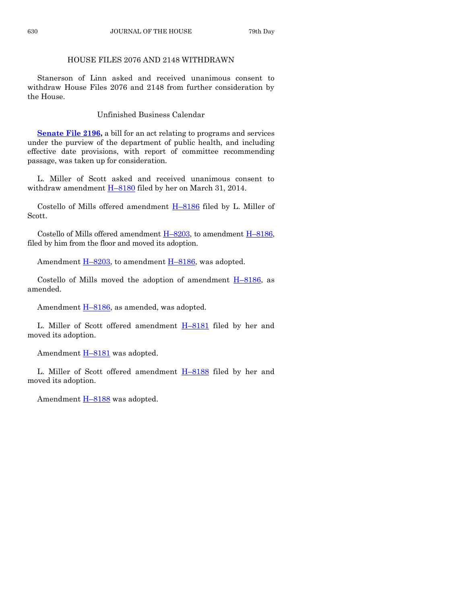#### HOUSE FILES 2076 AND 2148 WITHDRAWN

Stanerson of Linn asked and received unanimous consent to withdraw House Files 2076 and 2148 from further consideration by the House.

Unfinished Business Calendar

**[Senate File 2196,](http://coolice.legis.iowa.gov/Cool-ICE/default.asp?Category=billinfo&Service=Billbook&frame=1&GA=85&hbill=SF2196)** a bill for an act relating to programs and services under the purview of the department of public health, and including effective date provisions, with report of committee recommending passage, was taken up for consideration.

L. Miller of Scott asked and received unanimous consent to withdraw amendment  $H-8180$  $H-8180$  filed by her on March 31, 2014.

Costello of Mills offered amendment H–[8186](http://coolice.legis.iowa.gov/Cool-ICE/default.asp?Category=billinfo&Service=Billbook&frame=1&GA=85&hbill=H8186) filed by L. Miller of Scott.

Costello of Mills offered amendment  $H-8203$ , to amendment  $H-8186$ , filed by him from the floor and moved its adoption.

Amendment  $\underline{H-8203}$ , to amendment  $\underline{H-8186}$ , was adopted.

Costello of Mills moved the adoption of amendment  $H-8186$ , as amended.

Amendment H-[8186,](http://coolice.legis.iowa.gov/Cool-ICE/default.asp?Category=billinfo&Service=Billbook&frame=1&GA=85&hbill=H8186) as amended, was adopted.

L. Miller of Scott offered amendment  $H-8181$  $H-8181$  filed by her and moved its adoption.

Amendment  $H-8181$  $H-8181$  was adopted.

L. Miller of Scott offered amendment  $H-8188$  $H-8188$  filed by her and moved its adoption.

Amendment  $H-8188$  $H-8188$  was adopted.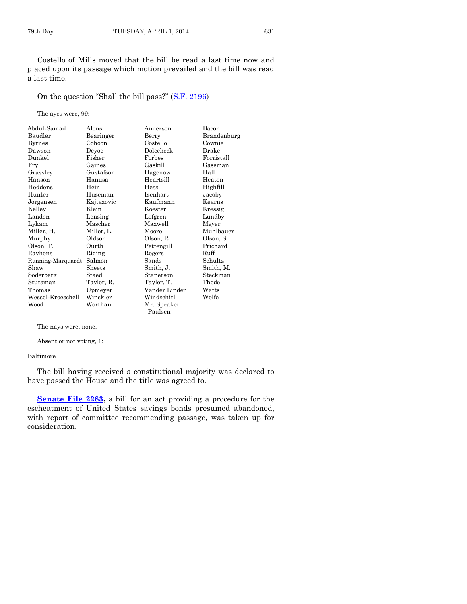Costello of Mills moved that the bill be read a last time now and placed upon its passage which motion prevailed and the bill was read a last time.

On the question "Shall the bill pass?" ([S.F. 2196\)](http://coolice.legis.iowa.gov/Cool-ICE/default.asp?Category=billinfo&Service=Billbook&frame=1&GA=85&hbill=SF2196)

The ayes were, 99:

| Abdul-Samad       | Alons      | Anderson      | Bacon       |
|-------------------|------------|---------------|-------------|
| Baudler           | Bearinger  | Berry         | Brandenburg |
| <b>Byrnes</b>     | Cohoon     | Costello      | Cownie      |
| Dawson            | Deyoe      | Dolecheck     | Drake       |
| Dunkel            | Fisher     | Forbes        | Forristall  |
| Fry               | Gaines     | Gaskill       | Gassman     |
| Grassley          | Gustafson  | Hagenow       | Hall        |
| Hanson            | Hanusa     | Heartsill     | Heaton      |
| Heddens           | Hein       | Hess          | Highfill    |
| Hunter            | Huseman    | Isenhart      | Jacoby      |
| Jorgensen         | Kajtazovic | Kaufmann      | Kearns      |
| Kelley            | Klein      | Koester       | Kressig     |
| Landon            | Lensing    | Lofgren       | Lundby      |
| Lykam             | Mascher    | Maxwell       | Meyer       |
| Miller, H.        | Miller, L. | Moore         | Muhlbauer   |
| Murphy            | Oldson     | Olson, R.     | Olson, S.   |
| Olson, T.         | Ourth      | Pettengill    | Prichard    |
| Rayhons           | Riding     | Rogers        | Ruff        |
| Running-Marquardt | Salmon     | Sands         | Schultz     |
| Shaw              | Sheets     | Smith, J.     | Smith, M.   |
| Soderberg         | Staed      | Stanerson     | Steckman    |
| Stutsman          | Taylor, R. | Taylor, T.    | Thede       |
| Thomas            | Upmeyer    | Vander Linden | Watts       |
| Wessel-Kroeschell | Winckler   | Windschitl    | Wolfe       |
| Wood              | Worthan    | Mr. Speaker   |             |
|                   |            | Paulsen       |             |

The nays were, none.

Absent or not voting, 1:

Baltimore

The bill having received a constitutional majority was declared to have passed the House and the title was agreed to.

**Senate File 2283**, a bill for an act providing a procedure for the escheatment of United States savings bonds presumed abandoned, with report of committee recommending passage, was taken up for consideration.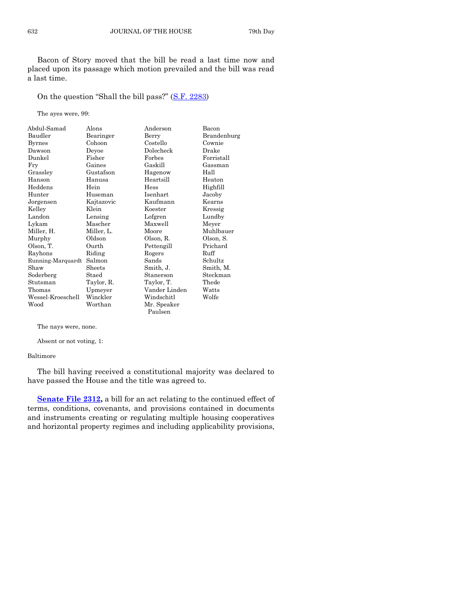Bacon of Story moved that the bill be read a last time now and placed upon its passage which motion prevailed and the bill was read a last time.

On the question "Shall the bill pass?" ([S.F. 2283\)](http://coolice.legis.iowa.gov/Cool-ICE/default.asp?Category=billinfo&Service=Billbook&frame=1&GA=85&hbill=SF2283)

The ayes were, 99:

| Abdul-Samad       | Alons      | Anderson      | Bacon       |
|-------------------|------------|---------------|-------------|
| Baudler           | Bearinger  | Berry         | Brandenburg |
| <b>Byrnes</b>     | Cohoon     | Costello      | Cownie      |
| Dawson            | Deyoe      | Dolecheck     | Drake       |
| Dunkel            | Fisher     | Forbes        | Forristall  |
| Fry               | Gaines     | Gaskill       | Gassman     |
| Grassley          | Gustafson  | Hagenow       | Hall        |
| Hanson            | Hanusa     | Heartsill     | Heaton      |
| Heddens           | Hein       | Hess          | Highfill    |
| Hunter            | Huseman    | Isenhart      | Jacoby      |
| Jorgensen         | Kajtazovic | Kaufmann      | Kearns      |
| Kelley            | Klein      | Koester       | Kressig     |
| Landon            | Lensing    | Lofgren       | Lundby      |
| Lykam             | Mascher    | Maxwell       | Meyer       |
| Miller, H.        | Miller, L. | Moore         | Muhlbauer   |
| Murphy            | Oldson     | Olson, R.     | Olson, S.   |
| Olson, T.         | Ourth      | Pettengill    | Prichard    |
| Rayhons           | Riding     | Rogers        | Ruff        |
| Running-Marquardt | Salmon     | Sands         | Schultz     |
| Shaw              | Sheets     | Smith, J.     | Smith, M.   |
| Soderberg         | Staed      | Stanerson     | Steckman    |
| Stutsman          | Taylor, R. | Taylor, T.    | Thede       |
| Thomas            | Upmeyer    | Vander Linden | Watts       |
| Wessel-Kroeschell | Winckler   | Windschitl    | Wolfe       |
| Wood              | Worthan    | Mr. Speaker   |             |
|                   |            | Paulsen       |             |

The nays were, none.

Absent or not voting, 1:

Baltimore

The bill having received a constitutional majority was declared to have passed the House and the title was agreed to.

**[Senate File 2312,](http://coolice.legis.iowa.gov/Cool-ICE/default.asp?Category=billinfo&Service=Billbook&frame=1&GA=85&hbill=SF2312)** a bill for an act relating to the continued effect of terms, conditions, covenants, and provisions contained in documents and instruments creating or regulating multiple housing cooperatives and horizontal property regimes and including applicability provisions,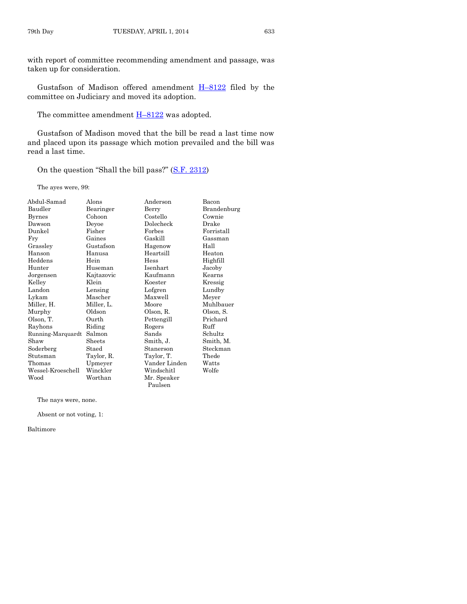with report of committee recommending amendment and passage, was taken up for consideration.

Gustafson of Madison offered amendment H–[8122](http://coolice.legis.iowa.gov/Cool-ICE/default.asp?Category=billinfo&Service=Billbook&frame=1&GA=85&hbill=H8122) filed by the committee on Judiciary and moved its adoption.

The committee amendment  $H-8122$  $H-8122$  was adopted.

Gustafson of Madison moved that the bill be read a last time now and placed upon its passage which motion prevailed and the bill was read a last time.

On the question "Shall the bill pass?" ([S.F. 2312\)](http://coolice.legis.iowa.gov/Cool-ICE/default.asp?Category=billinfo&Service=Billbook&frame=1&GA=85&hbill=SF2312)

The ayes were, 99:

| Abdul-Samad       | Alons      | Anderson      | Bacon       |
|-------------------|------------|---------------|-------------|
| Baudler           | Bearinger  | Berry         | Brandenburg |
| <b>Byrnes</b>     | Cohoon     | Costello      | Cownie      |
| Dawson            | Deyoe      | Dolecheck     | Drake       |
| Dunkel            | Fisher     | Forbes        | Forristall  |
| Fry               | Gaines     | Gaskill       | Gassman     |
| Grassley          | Gustafson  | Hagenow       | Hall        |
| Hanson            | Hanusa     | Heartsill     | Heaton      |
| Heddens           | Hein       | <b>Hess</b>   | Highfill    |
| Hunter            | Huseman    | Isenhart      | Jacoby      |
| Jorgensen         | Kajtazovic | Kaufmann      | Kearns      |
| Kelley            | Klein      | Koester       | Kressig     |
| Landon            | Lensing    | Lofgren       | Lundby      |
| Lykam             | Mascher    | Maxwell       | Meyer       |
| Miller, H.        | Miller, L. | Moore         | Muhlbauer   |
| Murphy            | Oldson     | Olson, R.     | Olson, S.   |
| Olson, T.         | Ourth      | Pettengill    | Prichard    |
| Rayhons           | Riding     | Rogers        | Ruff        |
| Running-Marquardt | Salmon     | Sands         | Schultz     |
| Shaw              | Sheets     | Smith, J.     | Smith, M.   |
| Soderberg         | Staed      | Stanerson     | Steckman    |
| Stutsman          | Taylor, R. | Taylor, T.    | Thede       |
| Thomas            | Upmeyer    | Vander Linden | Watts       |
| Wessel-Kroeschell | Winckler   | Windschitl    | Wolfe       |
| Wood              | Worthan    | Mr. Speaker   |             |
|                   |            | Paulsen       |             |

The nays were, none.

Absent or not voting, 1:

Baltimore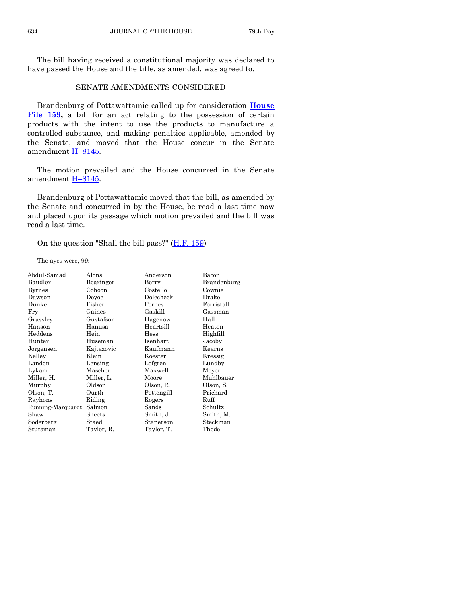The bill having received a constitutional majority was declared to have passed the House and the title, as amended, was agreed to.

#### SENATE AMENDMENTS CONSIDERED

Brandenburg of Pottawattamie called up for consideration **[House](http://coolice.legis.iowa.gov/Cool-ICE/default.asp?Category=billinfo&Service=Billbook&frame=1&GA=85&hbill=HF159)  [File 159,](http://coolice.legis.iowa.gov/Cool-ICE/default.asp?Category=billinfo&Service=Billbook&frame=1&GA=85&hbill=HF159)** a bill for an act relating to the possession of certain products with the intent to use the products to manufacture a controlled substance, and making penalties applicable, amended by the Senate, and moved that the House concur in the Senate amendment H–[8145.](http://coolice.legis.iowa.gov/Cool-ICE/default.asp?Category=billinfo&Service=Billbook&frame=1&GA=85&hbill=H8145)

The motion prevailed and the House concurred in the Senate amendment H-[8145.](http://coolice.legis.iowa.gov/Cool-ICE/default.asp?Category=billinfo&Service=Billbook&frame=1&GA=85&hbill=H8145)

Brandenburg of Pottawattamie moved that the bill, as amended by the Senate and concurred in by the House, be read a last time now and placed upon its passage which motion prevailed and the bill was read a last time.

On the question "Shall the bill pass?"  $(H.F. 159)$ 

The ayes were, 99:

| Abdul-Samad       | Alons      | Anderson   | Bacon       |
|-------------------|------------|------------|-------------|
| Baudler           | Bearinger  | Berry      | Brandenburg |
| <b>Byrnes</b>     | Cohoon     | Costello   | Cownie      |
| Dawson            | Devoe      | Dolecheck  | Drake       |
| Dunkel            | Fisher     | Forbes     | Forristall  |
| Fry               | Gaines     | Gaskill    | Gassman     |
| Grassley          | Gustafson  | Hagenow    | Hall        |
| Hanson            | Hanusa     | Heartsill  | Heaton      |
| Heddens           | Hein       | Hess       | Highfill    |
| Hunter            | Huseman    | Isenhart   | Jacoby      |
| Jorgensen         | Kajtazovic | Kaufmann   | Kearns      |
| Kelley            | Klein      | Koester    | Kressig     |
| Landon            | Lensing    | Lofgren    | Lundby      |
| Lykam             | Mascher    | Maxwell    | Meyer       |
| Miller, H.        | Miller, L. | Moore      | Muhlbauer   |
| Murphy            | Oldson     | Olson, R.  | Olson, S.   |
| Olson, T.         | Ourth      | Pettengill | Prichard    |
| Rayhons           | Riding     | Rogers     | Ruff        |
| Running-Marquardt | Salmon     | Sands      | Schultz     |
| Shaw              | Sheets     | Smith, J.  | Smith, M.   |
| Soderberg         | Staed      | Stanerson  | Steckman    |
| Stutsman          | Taylor, R. | Taylor, T. | Thede       |
|                   |            |            |             |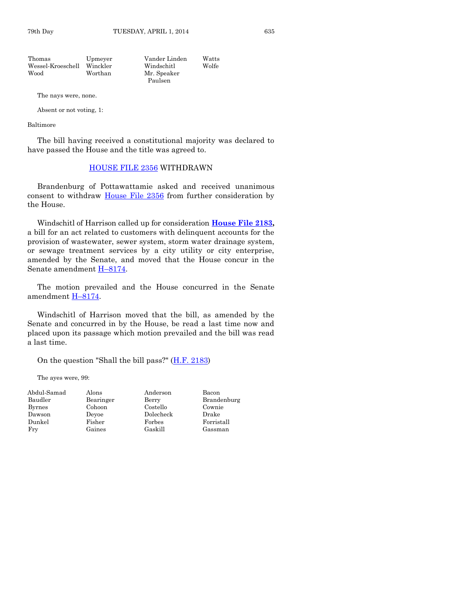Thomas Upmeyer Vander Linden Watts Wessel-Kroeschell Winckler Windschitl Wolfe

Wood Worthan Mr. Speaker Paulsen

The nays were, none.

Absent or not voting, 1:

Baltimore

The bill having received a constitutional majority was declared to have passed the House and the title was agreed to.

#### [HOUSE FILE 2356](http://coolice.legis.iowa.gov/Cool-ICE/default.asp?Category=billinfo&Service=Billbook&frame=1&GA=85&hbill=HF2356) WITHDRAWN

Brandenburg of Pottawattamie asked and received unanimous consent to withdraw [House File 2356](http://coolice.legis.iowa.gov/Cool-ICE/default.asp?Category=billinfo&Service=Billbook&frame=1&GA=85&hbill=HF2356) from further consideration by the House.

Windschitl of Harrison called up for consideration **[House File 2183,](http://coolice.legis.iowa.gov/Cool-ICE/default.asp?Category=billinfo&Service=Billbook&frame=1&GA=85&hbill=HF2183)** a bill for an act related to customers with delinquent accounts for the provision of wastewater, sewer system, storm water drainage system, or sewage treatment services by a city utility or city enterprise, amended by the Senate, and moved that the House concur in the Senate amendment H–[8174.](http://coolice.legis.iowa.gov/Cool-ICE/default.asp?Category=billinfo&Service=Billbook&frame=1&GA=85&hbill=H8174)

The motion prevailed and the House concurred in the Senate amendment H–[8174.](http://coolice.legis.iowa.gov/Cool-ICE/default.asp?Category=billinfo&Service=Billbook&frame=1&GA=85&hbill=H8174)

Windschitl of Harrison moved that the bill, as amended by the Senate and concurred in by the House, be read a last time now and placed upon its passage which motion prevailed and the bill was read a last time.

On the question "Shall the bill pass?"  $(H.F. 2183)$ 

The ayes were, 99:

| Abdul-Samad | Alons     | Anderson  | Bacon       |
|-------------|-----------|-----------|-------------|
| Baudler     | Bearinger | Berry     | Brandenburg |
| Byrnes      | Cohoon    | Costello  | Cownie      |
| Dawson      | Devoe     | Dolecheck | Drake       |
| Dunkel      | Fisher    | Forbes    | Forristall  |
| Fry         | Gaines    | Gaskill   | Gassman     |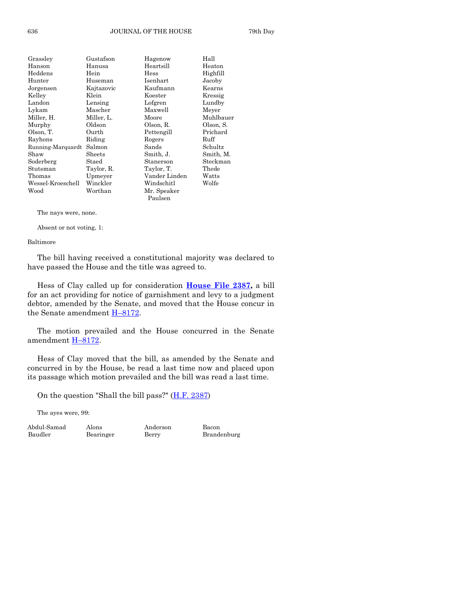| Grassley          | Gustafson  | Hagenow       | Hall      |
|-------------------|------------|---------------|-----------|
| Hanson            | Hanusa     | Heartsill     | Heaton    |
| Heddens           | Hein       | Hess          | Highfill  |
| Hunter            | Huseman    | Isenhart      | Jacoby    |
| Jorgensen         | Kajtazovic | Kaufmann      | Kearns    |
| Kelley            | Klein      | Koester       | Kressig   |
| Landon            | Lensing    | Lofgren       | Lundby    |
| Lykam             | Mascher    | Maxwell       | Meyer     |
| Miller, H.        | Miller, L. | Moore         | Muhlbauer |
| Murphy            | Oldson     | Olson, R.     | Olson, S. |
| Olson, T.         | Ourth      | Pettengill    | Prichard  |
| Rayhons           | Riding     | Rogers        | Ruff      |
| Running-Marquardt | Salmon     | Sands         | Schultz   |
| Shaw              | Sheets     | Smith, J.     | Smith, M. |
| Soderberg         | Staed      | Stanerson     | Steckman  |
| Stutsman          | Taylor, R. | Taylor, T.    | Thede     |
| Thomas            | Upmeyer    | Vander Linden | Watts     |
| Wessel-Kroeschell | Winckler   | Windschitl    | Wolfe     |
| Wood              | Worthan    | Mr. Speaker   |           |
|                   |            | Paulsen       |           |

#### The nays were, none.

Absent or not voting, 1:

#### Baltimore

The bill having received a constitutional majority was declared to have passed the House and the title was agreed to.

Hess of Clay called up for consideration **[House File 2387,](http://coolice.legis.iowa.gov/Cool-ICE/default.asp?Category=billinfo&Service=Billbook&frame=1&GA=85&hbill=HF2387)** a bill for an act providing for notice of garnishment and levy to a judgment debtor, amended by the Senate, and moved that the House concur in the Senate amendment H-[8172.](http://coolice.legis.iowa.gov/Cool-ICE/default.asp?Category=billinfo&Service=Billbook&frame=1&GA=85&hbill=H8172)

The motion prevailed and the House concurred in the Senate amendment H–[8172.](http://coolice.legis.iowa.gov/Cool-ICE/default.asp?Category=billinfo&Service=Billbook&frame=1&GA=85&hbill=H8172)

Hess of Clay moved that the bill, as amended by the Senate and concurred in by the House, be read a last time now and placed upon its passage which motion prevailed and the bill was read a last time.

On the question "Shall the bill pass?"  $(H.F. 2387)$ 

The ayes were, 99:

Abdul-Samad Alons Anderson Bacon Baudler Bearinger Berry Brandenburg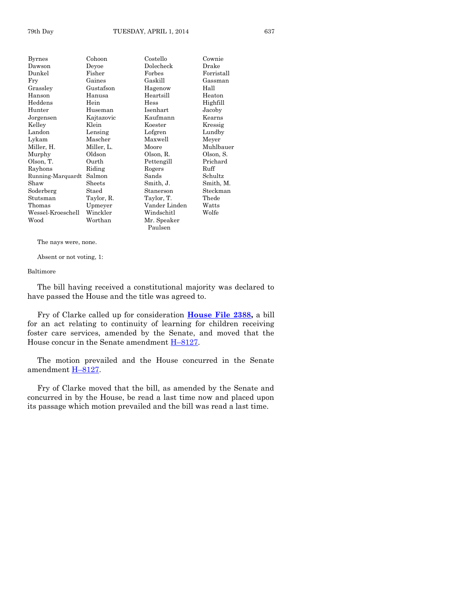| Byrnes            | Cohoon     | Costello      | Cownie     |
|-------------------|------------|---------------|------------|
| Dawson            | Devoe      | Dolecheck     | Drake      |
| Dunkel            | Fisher     | Forbes        | Forristall |
| Fry               | Gaines     | Gaskill       | Gassman    |
| Grassley          | Gustafson  | Hagenow       | Hall       |
| Hanson            | Hanusa     | Heartsill     | Heaton     |
| Heddens           | Hein       | Hess          | Highfill   |
| Hunter            | Huseman    | Isenhart      | Jacoby     |
| Jorgensen         | Kajtazovic | Kaufmann      | Kearns     |
| Kelley            | Klein      | Koester       | Kressig    |
| Landon            | Lensing    | Lofgren       | Lundby     |
| Lykam             | Mascher    | Maxwell       | Meyer      |
| Miller, H.        | Miller, L. | Moore         | Muhlbauer  |
| Murphy            | Oldson     | Olson, R.     | Olson, S.  |
| Olson, T.         | Ourth      | Pettengill    | Prichard   |
| Rayhons           | Riding     | Rogers        | Ruff       |
| Running-Marquardt | Salmon     | Sands         | Schultz    |
| Shaw              | Sheets     | Smith, J.     | Smith, M.  |
| Soderberg         | Staed      | Stanerson     | Steckman   |
| Stutsman          | Taylor, R. | Taylor, T.    | Thede      |
| Thomas            | Upmeyer    | Vander Linden | Watts      |
| Wessel-Kroeschell | Winckler   | Windschitl    | Wolfe      |
| Wood              | Worthan    | Mr. Speaker   |            |
|                   |            | Paulsen       |            |

The nays were, none.

Absent or not voting, 1:

#### Baltimore

The bill having received a constitutional majority was declared to have passed the House and the title was agreed to.

Fry of Clarke called up for consideration **[House File 2388,](http://coolice.legis.iowa.gov/Cool-ICE/default.asp?Category=billinfo&Service=Billbook&frame=1&GA=85&hbill=HF2388)** a bill for an act relating to continuity of learning for children receiving foster care services, amended by the Senate, and moved that the House concur in the Senate amendment  $H-8127$ .

The motion prevailed and the House concurred in the Senate amendment H–[8127.](http://coolice.legis.iowa.gov/Cool-ICE/default.asp?Category=billinfo&Service=Billbook&frame=1&GA=85&hbill=H8127)

Fry of Clarke moved that the bill, as amended by the Senate and concurred in by the House, be read a last time now and placed upon its passage which motion prevailed and the bill was read a last time.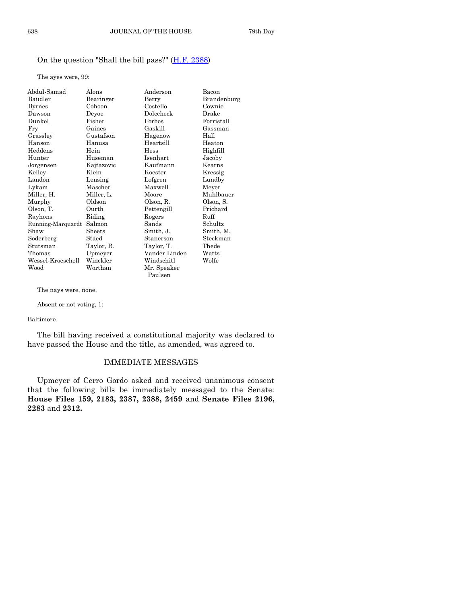#### On the question "Shall the bill pass?"  $(H.F. 2388)$

The ayes were, 99:

| Abdul-Samad       | Alons      | Anderson      | Bacon       |
|-------------------|------------|---------------|-------------|
| Baudler           | Bearinger  | Berry         | Brandenburg |
| <b>Byrnes</b>     | Cohoon     | Costello      | Cownie      |
| Dawson            | Deyoe      | Dolecheck     | Drake       |
| Dunkel            | Fisher     | Forbes        | Forristall  |
| Fry               | Gaines     | Gaskill       | Gassman     |
| Grassley          | Gustafson  | Hagenow       | Hall        |
| Hanson            | Hanusa     | Heartsill     | Heaton      |
| Heddens           | Hein       | Hess          | Highfill    |
| Hunter            | Huseman    | Isenhart      | Jacoby      |
| Jorgensen         | Kajtazovic | Kaufmann      | Kearns      |
| Kelley            | Klein      | Koester       | Kressig     |
| Landon            | Lensing    | Lofgren       | Lundby      |
| Lykam             | Mascher    | Maxwell       | Meyer       |
| Miller, H.        | Miller, L. | Moore         | Muhlbauer   |
| Murphy            | Oldson     | Olson, R.     | Olson, S.   |
| Olson, T.         | Ourth      | Pettengill    | Prichard    |
| Rayhons           | Riding     | Rogers        | Ruff        |
| Running-Marquardt | Salmon     | Sands         | Schultz     |
| Shaw              | Sheets     | Smith, J.     | Smith, M.   |
| Soderberg         | Staed      | Stanerson     | Steckman    |
| Stutsman          | Taylor, R. | Taylor, T.    | Thede       |
| Thomas            | Upmeyer    | Vander Linden | Watts       |
| Wessel-Kroeschell | Winckler   | Windschitl    | Wolfe       |
| Wood              | Worthan    | Mr. Speaker   |             |

The nays were, none.

Absent or not voting, 1:

#### Baltimore

The bill having received a constitutional majority was declared to have passed the House and the title, as amended, was agreed to.

Paulsen

#### IMMEDIATE MESSAGES

Upmeyer of Cerro Gordo asked and received unanimous consent that the following bills be immediately messaged to the Senate: **House Files 159, 2183, 2387, 2388, 2459** and **Senate Files 2196, 2283** and **2312.**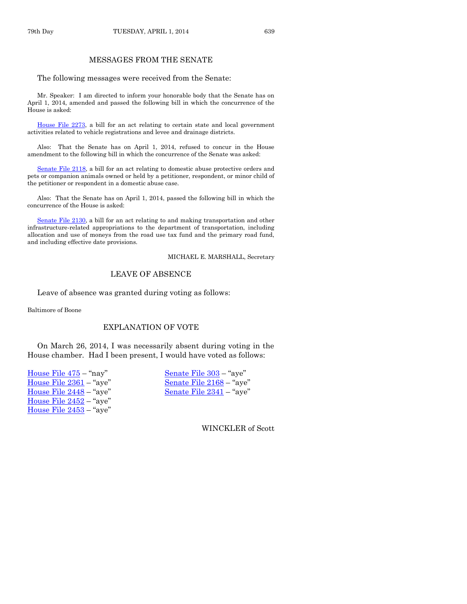The following messages were received from the Senate:

Mr. Speaker: I am directed to inform your honorable body that the Senate has on April 1, 2014, amended and passed the following bill in which the concurrence of the House is asked:

[House File 2273,](http://coolice.legis.iowa.gov/Cool-ICE/default.asp?Category=billinfo&Service=Billbook&frame=1&GA=85&hbill=HF2273) a bill for an act relating to certain state and local government activities related to vehicle registrations and levee and drainage districts.

Also: That the Senate has on April 1, 2014, refused to concur in the House amendment to the following bill in which the concurrence of the Senate was asked:

Senate [File 2118,](http://coolice.legis.iowa.gov/Cool-ICE/default.asp?Category=billinfo&Service=Billbook&frame=1&GA=85&hbill=SF2118) a bill for an act relating to domestic abuse protective orders and pets or companion animals owned or held by a petitioner, respondent, or minor child of the petitioner or respondent in a domestic abuse case.

Also: That the Senate has on April 1, 2014, passed the following bill in which the concurrence of the House is asked:

[Senate File 2130,](http://coolice.legis.iowa.gov/Cool-ICE/default.asp?Category=billinfo&Service=Billbook&frame=1&GA=85&hbill=SF2130) a bill for an act relating to and making transportation and other infrastructure-related appropriations to the department of transportation, including allocation and use of moneys from the road use tax fund and the primary road fund, and including effective date provisions.

MICHAEL E. MARSHALL, Secretary

#### LEAVE OF ABSENCE

Leave of absence was granted during voting as follows:

Baltimore of Boone

#### EXPLANATION OF VOTE

On March 26, 2014, I was necessarily absent during voting in the House chamber. Had I been present, I would have voted as follows:

| House File 475 – "nay"    |
|---------------------------|
| House File 2361 – "aye"   |
| House File 2448 – "aye"   |
| House File $2452 -$ "aye" |
| House File 2453 - "aye"   |
|                           |

[Senate File 303](http://coolice.legis.iowa.gov/Cool-ICE/default.asp?Category=billinfo&Service=Billbook&frame=1&GA=85&hbill=SF303) – "aye" [Senate File 2168](http://coolice.legis.iowa.gov/Cool-ICE/default.asp?Category=billinfo&Service=Billbook&frame=1&GA=85&hbill=SF2168) – "aye" [Senate File 2341](http://coolice.legis.iowa.gov/Cool-ICE/default.asp?Category=billinfo&Service=Billbook&frame=1&GA=85&hbill=SF2341) – "aye"

WINCKLER of Scott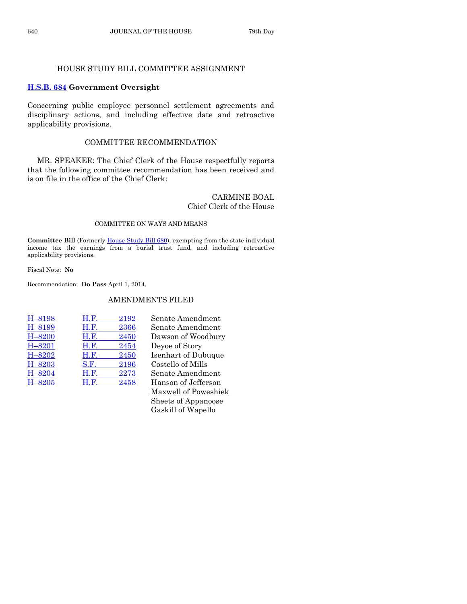#### HOUSE STUDY BILL COMMITTEE ASSIGNMENT

#### **[H.S.B. 684](http://coolice.legis.iowa.gov/Cool-ICE/default.asp?Category=billinfo&Service=Billbook&frame=1&GA=85&hbill=HSB684) Government Oversight**

Concerning public employee personnel settlement agreements and disciplinary actions, and including effective date and retroactive applicability provisions.

#### COMMITTEE RECOMMENDATION

MR. SPEAKER: The Chief Clerk of the House respectfully reports that the following committee recommendation has been received and is on file in the office of the Chief Clerk:

#### CARMINE BOAL Chief Clerk of the House

#### COMMITTEE ON WAYS AND MEANS

**Committee Bill** (Formerl[y House Study Bill 680\)](http://coolice.legis.iowa.gov/Cool-ICE/default.asp?Category=billinfo&Service=Billbook&frame=1&GA=85&hbill=HSB680), exempting from the state individual income tax the earnings from a burial trust fund, and including retroactive applicability provisions.

Fiscal Note: **No**

Recommendation: **Do Pass** April 1, 2014.

#### AMENDMENTS FILED

| H-8198     | H.F. | 2192 | Senate Amendment                                                                                                                                                                                                                                                                                                                   |
|------------|------|------|------------------------------------------------------------------------------------------------------------------------------------------------------------------------------------------------------------------------------------------------------------------------------------------------------------------------------------|
| H-8199     | H.F. | 2366 | Senate Amendment                                                                                                                                                                                                                                                                                                                   |
| $H - 8200$ | H.F. | 2450 | Dawson of Woodbur                                                                                                                                                                                                                                                                                                                  |
| $H - 8201$ | H.F. | 2454 | Deyoe of Story                                                                                                                                                                                                                                                                                                                     |
| H-8202     | H.F. | 2450 | Isenhart of Dubuque                                                                                                                                                                                                                                                                                                                |
| $H - 8203$ | S.F. | 2196 | Costello of Mills                                                                                                                                                                                                                                                                                                                  |
| $H - 8204$ | H.F. | 2273 | Senate Amendment                                                                                                                                                                                                                                                                                                                   |
| $H - 8205$ | H.F. | 2458 | Hanson of Jefferson                                                                                                                                                                                                                                                                                                                |
|            |      |      | $\mathbf{r}$ $\mathbf{r}$ $\mathbf{r}$ $\mathbf{r}$ $\mathbf{r}$ $\mathbf{r}$ $\mathbf{r}$ $\mathbf{r}$ $\mathbf{r}$ $\mathbf{r}$ $\mathbf{r}$ $\mathbf{r}$ $\mathbf{r}$ $\mathbf{r}$ $\mathbf{r}$ $\mathbf{r}$ $\mathbf{r}$ $\mathbf{r}$ $\mathbf{r}$ $\mathbf{r}$ $\mathbf{r}$ $\mathbf{r}$ $\mathbf{r}$ $\mathbf{r}$ $\mathbf{$ |

enate Amendment awson of Woodbury evoe of Story senhart of Dubuque Costello of Mills enate Amendment lanson of Jefferson Maxwell of Poweshiek Sheets of Appanoose Gaskill of Wapello